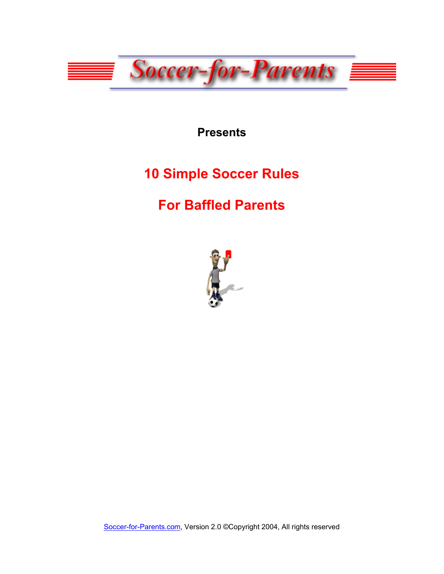

**Presents** 

# **10 Simple Soccer Rules**

# **For Baffled Parents**



[Soccer-for-Parents.com,](http://www.soccer-for-parents.com/home) Version 2.0 ©Copyright 2004, All rights reserved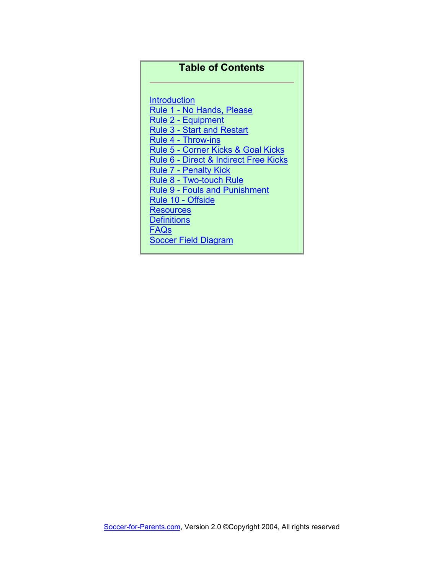#### **Table of Contents**

**[Introduction](#page-2-0)** [Rule 1 - No Hands, Please](#page-3-0) [Rule 2 - Equipment](#page-4-0) [Rule 3 - Start and Restart](#page-6-0)  [Rule 4 - Throw-ins](#page-7-0) [Rule 5 - Corner Kicks & Goal Kicks](#page-8-0) [Rule 6 - Direct & Indirect Free Kicks](#page-9-0) [Rule 7 - Penalty Kick](#page-10-0) [Rule 8 - Two-touch Rule](#page-11-0) [Rule 9 - Fouls and Punishment](#page-12-0) [Rule 10 - Offside](#page-13-0) **[Resources](#page-15-0) [Definitions](#page-17-0)** [FAQs](#page-19-0) [Soccer Field Diagram](#page-20-0)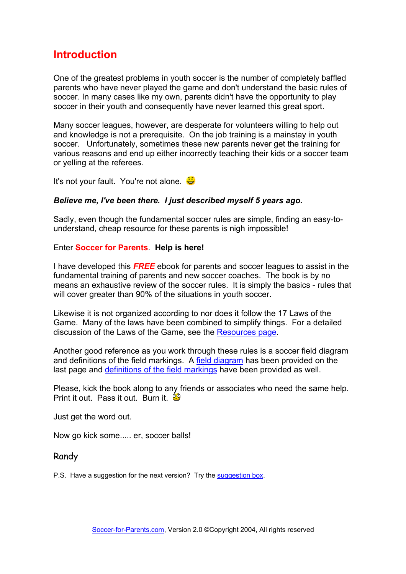### <span id="page-2-0"></span>**Introduction**

One of the greatest problems in youth soccer is the number of completely baffled parents who have never played the game and don't understand the basic rules of soccer. In many cases like my own, parents didn't have the opportunity to play soccer in their youth and consequently have never learned this great sport.

Many soccer leagues, however, are desperate for volunteers willing to help out and knowledge is not a prerequisite. On the job training is a mainstay in youth soccer. Unfortunately, sometimes these new parents never get the training for various reasons and end up either incorrectly teaching their kids or a soccer team or yelling at the referees.

It's not your fault. You're not alone.

#### *Believe me, I've been there. I just described myself 5 years ago.*

Sadly, even though the fundamental soccer rules are simple, finding an easy-tounderstand, cheap resource for these parents is nigh impossible!

#### Enter **Soccer for Parents**. **Help is here!**

I have developed this *FREE* ebook for parents and soccer leagues to assist in the fundamental training of parents and new soccer coaches. The book is by no means an exhaustive review of the soccer rules. It is simply the basics - rules that will cover greater than 90% of the situations in youth soccer.

Likewise it is not organized according to nor does it follow the 17 Laws of the Game. Many of the laws have been combined to simplify things. For a detailed discussion of the Laws of the Game, see the [Resources page](#page-15-1).

Another good reference as you work through these rules is a soccer field diagram and definitions of the field markings. A [field diagram](#page-20-1) has been provided on the last page and [definitions of the field markings](#page-17-1) have been provided as well.

Please, kick the book along to any friends or associates who need the same help. Print it out. Pass it out. Burn it.  $\mathfrak{B}$ 

Just get the word out.

Now go kick some..... er, soccer balls!

#### Randy

P.S. Have a suggestion for the next version? Try the [suggestion box.](http://www.soccer-for-parents.com/contact-us.html)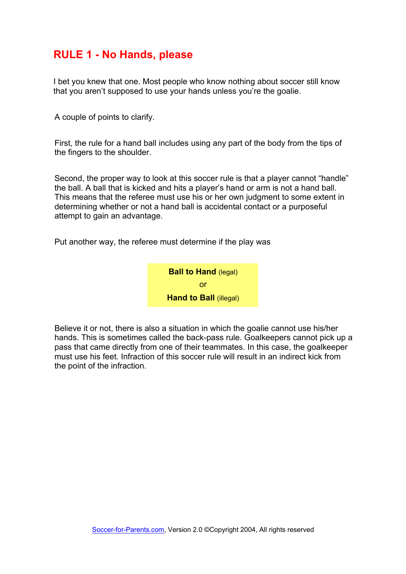#### <span id="page-3-0"></span>**RULE 1 - No Hands, please**

I bet you knew that one. Most people who know nothing about soccer still know that you aren't supposed to use your hands unless you're the goalie.

A couple of points to clarify.

First, the rule for a hand ball includes using any part of the body from the tips of the fingers to the shoulder.

Second, the proper way to look at this soccer rule is that a player cannot "handle" the ball. A ball that is kicked and hits a player's hand or arm is not a hand ball. This means that the referee must use his or her own judgment to some extent in determining whether or not a hand ball is accidental contact or a purposeful attempt to gain an advantage.

Put another way, the referee must determine if the play was



Believe it or not, there is also a situation in which the goalie cannot use his/her hands. This is sometimes called the back-pass rule. Goalkeepers cannot pick up a pass that came directly from one of their teammates. In this case, the goalkeeper must use his feet. Infraction of this soccer rule will result in an indirect kick from the point of the infraction.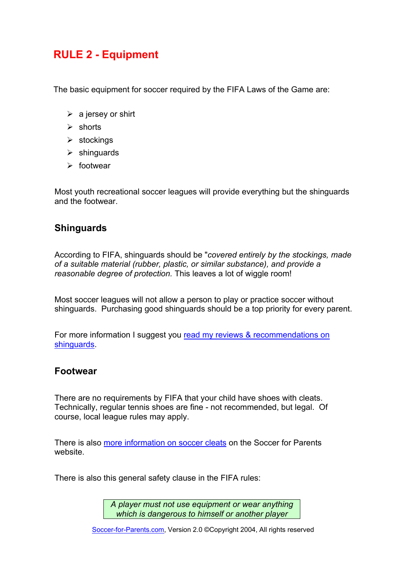### <span id="page-4-0"></span>**RULE 2 - Equipment**

The basic equipment for soccer required by the FIFA Laws of the Game are:

- $\triangleright$  a jersey or shirt
- $\triangleright$  shorts
- $\triangleright$  stockings
- $\triangleright$  shinguards
- $\triangleright$  footwear

Most youth recreational soccer leagues will provide everything but the shinguards and the footwear.

#### **Shinguards**

According to FIFA, shinguards should be "*covered entirely by the stockings, made of a suitable material (rubber, plastic, or similar substance), and provide a reasonable degree of protection.* This leaves a lot of wiggle room!

Most soccer leagues will not allow a person to play or practice soccer without shinguards. Purchasing good shinguards should be a top priority for every parent.

For more information I suggest you [read my reviews & recommendations on](http://www.soccer-for-parents.com/shinguards)  [shinguards.](http://www.soccer-for-parents.com/shinguards)

#### **Footwear**

There are no requirements by FIFA that your child have shoes with cleats. Technically, regular tennis shoes are fine - not recommended, but legal. Of course, local league rules may apply.

There is also [more information on soccer cleats](http://www.soccer-for-parents.com/cleats) on the Soccer for Parents website.

There is also this general safety clause in the FIFA rules:

*A player must not use equipment or wear anything which is dangerous to himself or another player*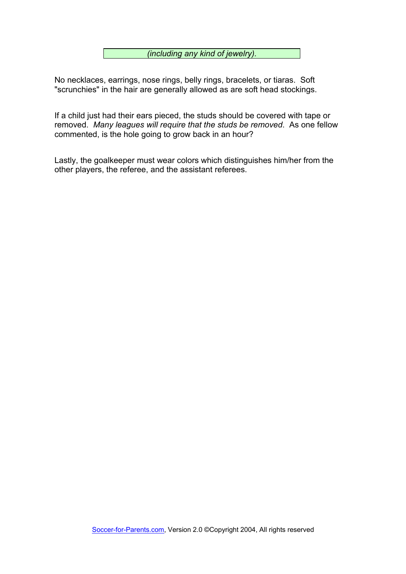*(including any kind of jewelry).* 

No necklaces, earrings, nose rings, belly rings, bracelets, or tiaras. Soft "scrunchies" in the hair are generally allowed as are soft head stockings.

If a child just had their ears pieced, the studs should be covered with tape or removed. *Many leagues will require that the studs be removed*. As one fellow commented, is the hole going to grow back in an hour?

Lastly, the goalkeeper must wear colors which distinguishes him/her from the other players, the referee, and the assistant referees.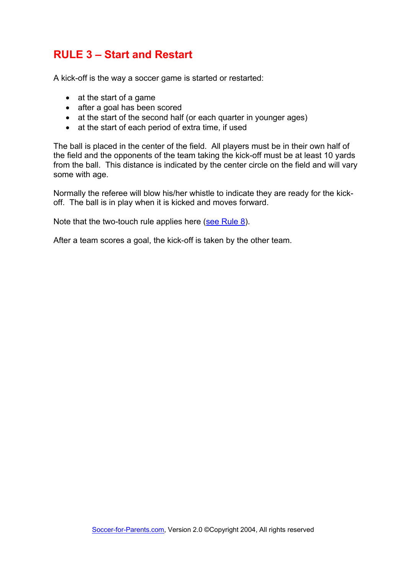### <span id="page-6-0"></span>**RULE 3 – Start and Restart**

A kick-off is the way a soccer game is started or restarted:

- at the start of a game
- after a goal has been scored
- at the start of the second half (or each quarter in younger ages)
- at the start of each period of extra time, if used

The ball is placed in the center of the field. All players must be in their own half of the field and the opponents of the team taking the kick-off must be at least 10 yards from the ball. This distance is indicated by the center circle on the field and will vary some with age.

Normally the referee will blow his/her whistle to indicate they are ready for the kickoff. The ball is in play when it is kicked and moves forward.

Note that the two-touch rule applies here ([see Rule 8](#page-11-1)).

After a team scores a goal, the kick-off is taken by the other team.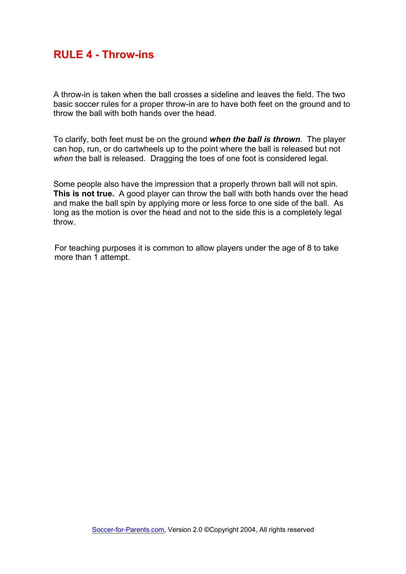#### <span id="page-7-0"></span>**RULE 4 - Throw-ins**

A throw-in is taken when the ball crosses a sideline and leaves the field. The two basic soccer rules for a proper throw-in are to have both feet on the ground and to throw the ball with both hands over the head.

To clarify, both feet must be on the ground *when the ball is thrown*. The player can hop, run, or do cartwheels up to the point where the ball is released but not *when* the ball is released. Dragging the toes of one foot is considered legal.

Some people also have the impression that a properly thrown ball will not spin. **This is not true.** A good player can throw the ball with both hands over the head and make the ball spin by applying more or less force to one side of the ball. As long as the motion is over the head and not to the side this is a completely legal throw.

For teaching purposes it is common to allow players under the age of 8 to take more than 1 attempt.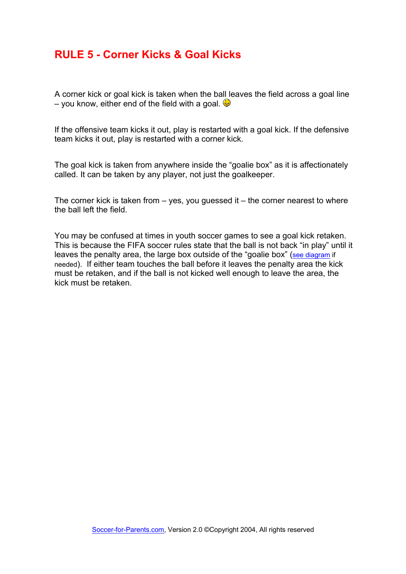#### <span id="page-8-0"></span>**RULE 5 - Corner Kicks & Goal Kicks**

A corner kick or goal kick is taken when the ball leaves the field across a goal line – you know, either end of the field with a goal.  $\bigcirc$ 

If the offensive team kicks it out, play is restarted with a goal kick. If the defensive team kicks it out, play is restarted with a corner kick.

The goal kick is taken from anywhere inside the "goalie box" as it is affectionately called. It can be taken by any player, not just the goalkeeper.

The corner kick is taken from  $-$  yes, you guessed it  $-$  the corner nearest to where the ball left the field.

You may be confused at times in youth soccer games to see a goal kick retaken. This is because the FIFA soccer rules state that the ball is not back "in play" until it leaves the penalty area, the large box outside of the "goalie box" ([see diagram](#page-20-1) if needed). If either team touches the ball before it leaves the penalty area the kick must be retaken, and if the ball is not kicked well enough to leave the area, the kick must be retaken.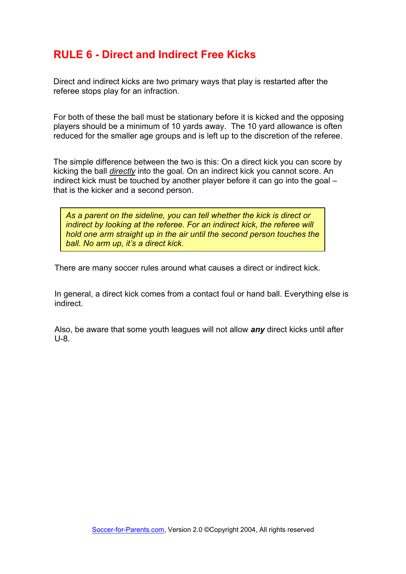### <span id="page-9-0"></span>**RULE 6 - Direct and Indirect Free Kicks**

Direct and indirect kicks are two primary ways that play is restarted after the referee stops play for an infraction.

For both of these the ball must be stationary before it is kicked and the opposing players should be a minimum of 10 yards away. The 10 yard allowance is often reduced for the smaller age groups and is left up to the discretion of the referee.

The simple difference between the two is this: On a direct kick you can score by kicking the ball *directly* into the goal. On an indirect kick you cannot score. An indirect kick must be touched by another player before it can go into the goal – that is the kicker and a second person.

*As a parent on the sideline, you can tell whether the kick is direct or indirect by looking at the referee. For an indirect kick, the referee will hold one arm straight up in the air until the second person touches the ball. No arm up, it's a direct kick.*

There are many soccer rules around what causes a direct or indirect kick.

In general, a direct kick comes from a contact foul or hand ball. Everything else is indirect.

Also, be aware that some youth leagues will not allow *any* direct kicks until after U-8.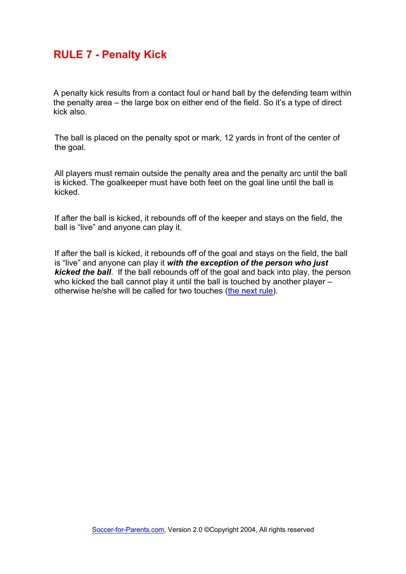#### <span id="page-10-0"></span>**RULE 7 - Penalty Kick**

A penalty kick results from a contact foul or hand ball by the defending team within the penalty area – the large box on either end of the field. So it's a type of direct kick also.

The ball is placed on the penalty spot or mark, 12 yards in front of the center of the goal.

All players must remain outside the penalty area and the penalty arc until the ball is kicked. The goalkeeper must have both feet on the goal line until the ball is kicked.

If after the ball is kicked, it rebounds off of the keeper and stays on the field, the ball is "live" and anyone can play it.

If after the ball is kicked, it rebounds off of the goal and stays on the field, the ball is "live" and anyone can play it *with the exception of the person who just kicked the ball*. If the ball rebounds off of the goal and back into play, the person who kicked the ball cannot play it until the ball is touched by another player – otherwise he/she will be called for two touches ([the next rule\)](#page-11-1).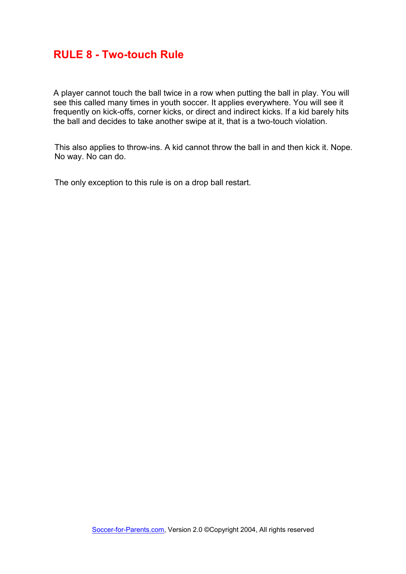#### <span id="page-11-1"></span><span id="page-11-0"></span>**RULE 8 - Two-touch Rule**

A player cannot touch the ball twice in a row when putting the ball in play. You will see this called many times in youth soccer. It applies everywhere. You will see it frequently on kick-offs, corner kicks, or direct and indirect kicks. If a kid barely hits the ball and decides to take another swipe at it, that is a two-touch violation.

This also applies to throw-ins. A kid cannot throw the ball in and then kick it. Nope. No way. No can do.

The only exception to this rule is on a drop ball restart.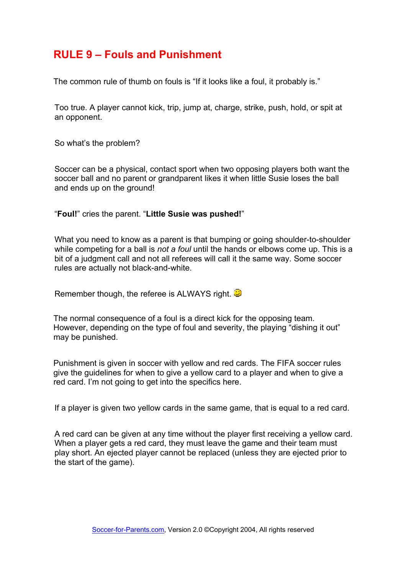### <span id="page-12-0"></span>**RULE 9 – Fouls and Punishment**

The common rule of thumb on fouls is "If it looks like a foul, it probably is."

Too true. A player cannot kick, trip, jump at, charge, strike, push, hold, or spit at an opponent.

So what's the problem?

Soccer can be a physical, contact sport when two opposing players both want the soccer ball and no parent or grandparent likes it when little Susie loses the ball and ends up on the ground!

"**Foul!**" cries the parent. "**Little Susie was pushed!**"

What you need to know as a parent is that bumping or going shoulder-to-shoulder while competing for a ball is *not a foul* until the hands or elbows come up. This is a bit of a judgment call and not all referees will call it the same way. Some soccer rules are actually not black-and-white.

Remember though, the referee is ALWAYS right.

The normal consequence of a foul is a direct kick for the opposing team. However, depending on the type of foul and severity, the playing "dishing it out" may be punished.

Punishment is given in soccer with yellow and red cards. The FIFA soccer rules give the guidelines for when to give a yellow card to a player and when to give a red card. I'm not going to get into the specifics here.

If a player is given two yellow cards in the same game, that is equal to a red card.

A red card can be given at any time without the player first receiving a yellow card. When a player gets a red card, they must leave the game and their team must play short. An ejected player cannot be replaced (unless they are ejected prior to the start of the game).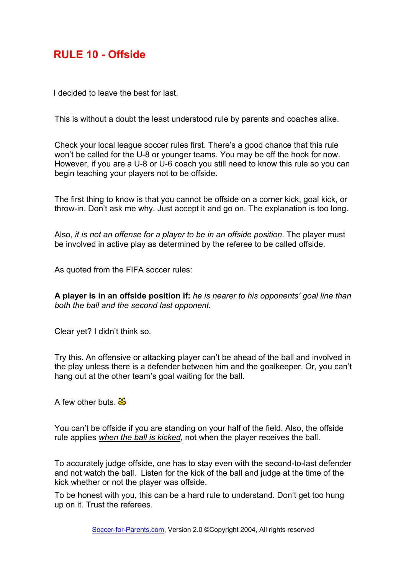### <span id="page-13-0"></span>**RULE 10 - Offside**

I decided to leave the best for last.

This is without a doubt the least understood rule by parents and coaches alike.

Check your local league soccer rules first. There's a good chance that this rule won't be called for the U-8 or younger teams. You may be off the hook for now. However, if you are a U-8 or U-6 coach you still need to know this rule so you can begin teaching your players not to be offside.

The first thing to know is that you cannot be offside on a corner kick, goal kick, or throw-in. Don't ask me why. Just accept it and go on. The explanation is too long.

Also, *it is not an offense for a player to be in an offside position*. The player must be involved in active play as determined by the referee to be called offside.

As quoted from the FIFA soccer rules:

**A player is in an offside position if:** *he is nearer to his opponents' goal line than both the ball and the second last opponent.*

Clear yet? I didn't think so.

Try this. An offensive or attacking player can't be ahead of the ball and involved in the play unless there is a defender between him and the goalkeeper. Or, you can't hang out at the other team's goal waiting for the ball.

A few other buts.  $\frac{36}{29}$ 

You can't be offside if you are standing on your half of the field. Also, the offside rule applies *when the ball is kicked*, not when the player receives the ball.

To accurately judge offside, one has to stay even with the second-to-last defender and not watch the ball. Listen for the kick of the ball and judge at the time of the kick whether or not the player was offside.

To be honest with you, this can be a hard rule to understand. Don't get too hung up on it. Trust the referees.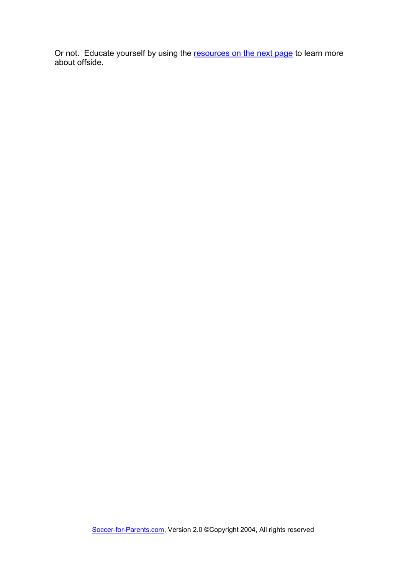Or not. Educate yourself by using the [resources on the next page](#page-15-1) to learn more about offside.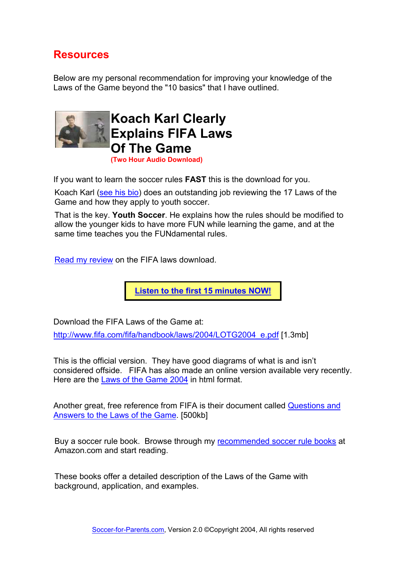### <span id="page-15-1"></span><span id="page-15-0"></span>**Resources**

Below are my personal recommendation for improving your knowledge of the Laws of the Game beyond the "10 basics" that I have outlined.



**Koach Karl Clearly Explains FIFA Laws Of The Game (Two Hour Audio Download)** 

If you want to learn the soccer rules **FAST** this is the download for you.

Koach Karl ([see his bio](http://www.soccer-for-parents.com/karl)) does an outstanding job reviewing the 17 Laws of the Game and how they apply to youth soccer.

That is the key. **Youth Soccer**. He explains how the rules should be modified to allow the younger kids to have more FUN while learning the game, and at the same time teaches you the FUNdamental rules.

[Read my review](http://www.soccer-for-parents.com/fifalaws) on the FIFA laws download.

**[Listen to the first 15 minutes NOW!](http://www.soccer-for-parents.com/FIFAsample)**

Download the FIFA Laws of the Game at:

[http://www.fifa.com/fifa/handbook/laws/2004/LOTG2004\\_e.pdf](http://www.fifa.com/fifa/handbook/laws/2004/LOTG2004_e.pdf) [1.3mb]

This is the official version. They have good diagrams of what is and isn't considered offside. FIFA has also made an online version available very recently. Here are the [Laws of the Game 2004](http://www.fifa.com/en/regulations/regulation/0,1584,3,00.html) in html format.

Another great, free reference from FIFA is their document called [Questions and](http://www.fifa.com/fifa/handbook/laws/2004/QA/Q&A2004_E.pdf)  [Answers to the Laws of the Game.](http://www.fifa.com/fifa/handbook/laws/2004/QA/Q&A2004_E.pdf) [500kb]

Buy a soccer rule book. Browse through my **[recommended soccer rule books](http://www.soccer-for-parents.com/rulebooklist) at** Amazon.com and start reading.

These books offer a detailed description of the Laws of the Game with background, application, and examples.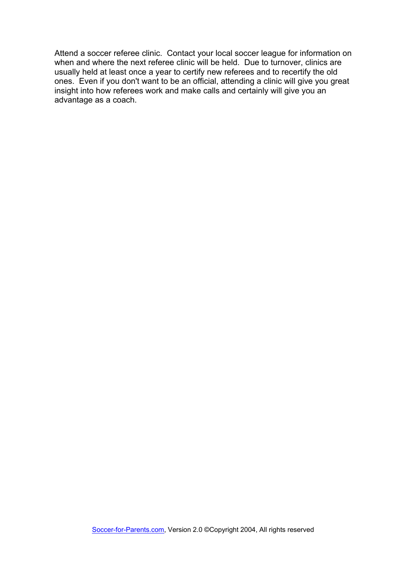Attend a soccer referee clinic. Contact your local soccer league for information on when and where the next referee clinic will be held. Due to turnover, clinics are usually held at least once a year to certify new referees and to recertify the old ones. Even if you don't want to be an official, attending a clinic will give you great insight into how referees work and make calls and certainly will give you an advantage as a coach.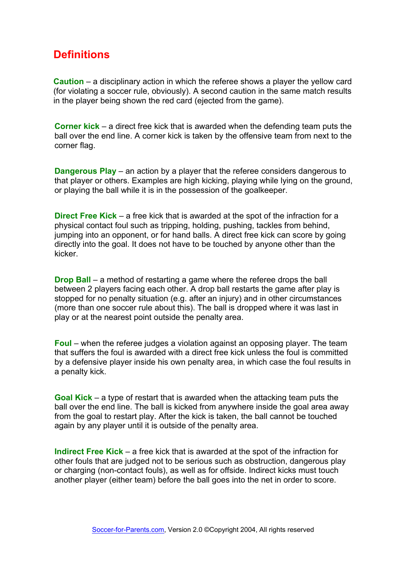### <span id="page-17-1"></span><span id="page-17-0"></span>**Definitions**

**Caution** – a disciplinary action in which the referee shows a player the yellow card (for violating a soccer rule, obviously). A second caution in the same match results in the player being shown the red card (ejected from the game).

**Corner kick** – a direct free kick that is awarded when the defending team puts the ball over the end line. A corner kick is taken by the offensive team from next to the corner flag.

**Dangerous Play** – an action by a player that the referee considers dangerous to that player or others. Examples are high kicking, playing while lying on the ground, or playing the ball while it is in the possession of the goalkeeper.

**Direct Free Kick** – a free kick that is awarded at the spot of the infraction for a physical contact foul such as tripping, holding, pushing, tackles from behind, jumping into an opponent, or for hand balls. A direct free kick can score by going directly into the goal. It does not have to be touched by anyone other than the kicker.

**Drop Ball** – a method of restarting a game where the referee drops the ball between 2 players facing each other. A drop ball restarts the game after play is stopped for no penalty situation (e.g. after an injury) and in other circumstances (more than one soccer rule about this). The ball is dropped where it was last in play or at the nearest point outside the penalty area.

**Foul** – when the referee judges a violation against an opposing player. The team that suffers the foul is awarded with a direct free kick unless the foul is committed by a defensive player inside his own penalty area, in which case the foul results in a penalty kick.

**Goal Kick** – a type of restart that is awarded when the attacking team puts the ball over the end line. The ball is kicked from anywhere inside the goal area away from the goal to restart play. After the kick is taken, the ball cannot be touched again by any player until it is outside of the penalty area.

**Indirect Free Kick** – a free kick that is awarded at the spot of the infraction for other fouls that are judged not to be serious such as obstruction, dangerous play or charging (non-contact fouls), as well as for offside. Indirect kicks must touch another player (either team) before the ball goes into the net in order to score.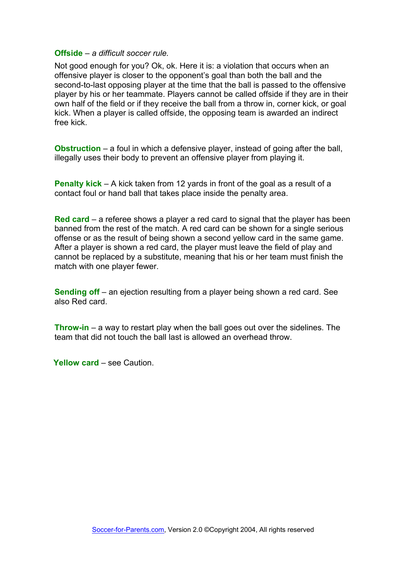#### **Offside** – *a difficult soccer rule.*

Not good enough for you? Ok, ok. Here it is: a violation that occurs when an offensive player is closer to the opponent's goal than both the ball and the second-to-last opposing player at the time that the ball is passed to the offensive player by his or her teammate. Players cannot be called offside if they are in their own half of the field or if they receive the ball from a throw in, corner kick, or goal kick. When a player is called offside, the opposing team is awarded an indirect free kick.

**Obstruction** – a foul in which a defensive player, instead of going after the ball, illegally uses their body to prevent an offensive player from playing it.

**Penalty kick** – A kick taken from 12 yards in front of the goal as a result of a contact foul or hand ball that takes place inside the penalty area.

**Red card** – a referee shows a player a red card to signal that the player has been banned from the rest of the match. A red card can be shown for a single serious offense or as the result of being shown a second yellow card in the same game. After a player is shown a red card, the player must leave the field of play and cannot be replaced by a substitute, meaning that his or her team must finish the match with one player fewer.

**Sending off** – an ejection resulting from a player being shown a red card. See also Red card.

**Throw-in** – a way to restart play when the ball goes out over the sidelines. The team that did not touch the ball last is allowed an overhead throw.

**Yellow card** – see Caution.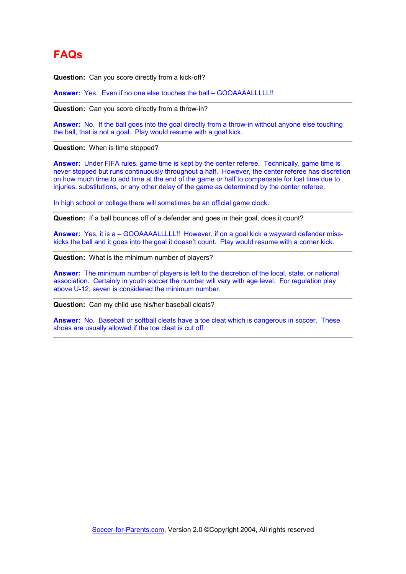## <span id="page-19-0"></span>**FAQs**

**Question:** Can you score directly from a kick-off?

**Answer:** Yes. Even if no one else touches the ball – GOOAAAALLLLL!!

**Question:** Can you score directly from a throw-in?

**Answer:** No. If the ball goes into the goal directly from a throw-in without anyone else touching the ball, that is not a goal. Play would resume with a goal kick.

**Question:** When is time stopped?

**Answer:** Under FIFA rules, game time is kept by the center referee. Technically, game time is never stopped but runs continuously throughout a half. However, the center referee has discretion on how much time to add time at the end of the game or half to compensate for lost time due to injuries, substitutions, or any other delay of the game as determined by the center referee.

In high school or college there will sometimes be an official game clock.

**Question:** If a ball bounces off of a defender and goes in their goal, does it count?

Answer: Yes, it is a - GOOAAAALLLLL!! However, if on a goal kick a wayward defender misskicks the ball and it goes into the goal it doesn't count. Play would resume with a corner kick.

**Question:** What is the minimum number of players?

**Answer:** The minimum number of players is left to the discretion of the local, state, or national association. Certainly in youth soccer the number will vary with age level. For regulation play above U-12, seven is considered the minimum number.

**Question:** Can my child use his/her baseball cleats?

Answer: No. Baseball or softball cleats have a toe cleat which is dangerous in soccer. These shoes are usually allowed if the toe cleat is cut off.